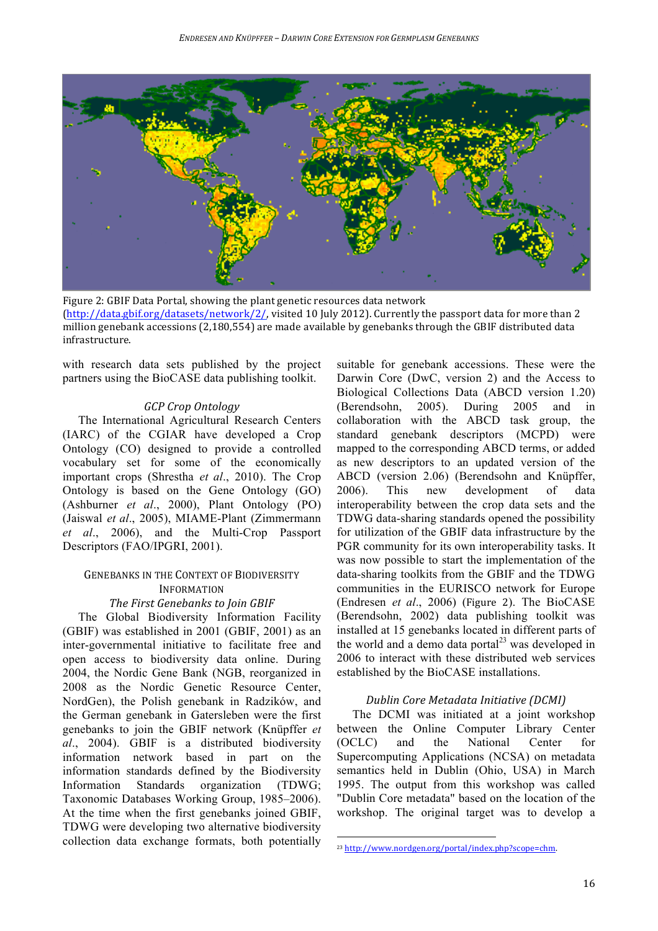

Figure 2: GBIF Data Portal, showing the plant genetic resources data network (http://data.gbif.org/datasets/network/2/, visited 10 July 2012). Currently the passport data for more than 2 million genebank accessions (2,180,554) are made available by genebanks through the GBIF distributed data infrastructure.

with research data sets published by the project partners using the BioCASE data publishing toolkit.

### *GCP Crop Ontology*

The International Agricultural Research Centers (IARC) of the CGIAR have developed a Crop Ontology (CO) designed to provide a controlled vocabulary set for some of the economically important crops (Shrestha *et al*., 2010). The Crop Ontology is based on the Gene Ontology (GO) (Ashburner *et al*., 2000), Plant Ontology (PO) (Jaiswal *et al*., 2005), MIAME-Plant (Zimmermann *et al*., 2006), and the Multi-Crop Passport Descriptors (FAO/IPGRI, 2001).

## GENEBANKS IN THE CONTEXT OF BIODIVERSITY INFORMATION

## **The First Genebanks to Join GBIF**

The Global Biodiversity Information Facility (GBIF) was established in 2001 (GBIF, 2001) as an inter-governmental initiative to facilitate free and open access to biodiversity data online. During 2004, the Nordic Gene Bank (NGB, reorganized in 2008 as the Nordic Genetic Resource Center, NordGen), the Polish genebank in Radzików, and the German genebank in Gatersleben were the first genebanks to join the GBIF network (Knüpffer *et al*., 2004). GBIF is a distributed biodiversity information network based in part on the information standards defined by the Biodiversity Information Standards organization (TDWG; Taxonomic Databases Working Group, 1985–2006). At the time when the first genebanks joined GBIF, TDWG were developing two alternative biodiversity collection data exchange formats, both potentially

suitable for genebank accessions. These were the Darwin Core (DwC, version 2) and the Access to Biological Collections Data (ABCD version 1.20) (Berendsohn, 2005). During 2005 and in collaboration with the ABCD task group, the standard genebank descriptors (MCPD) were mapped to the corresponding ABCD terms, or added as new descriptors to an updated version of the ABCD (version 2.06) (Berendsohn and Knüpffer, 2006). This new development of data interoperability between the crop data sets and the TDWG data-sharing standards opened the possibility for utilization of the GBIF data infrastructure by the PGR community for its own interoperability tasks. It was now possible to start the implementation of the data-sharing toolkits from the GBIF and the TDWG communities in the EURISCO network for Europe (Endresen *et al.*, 2006) (Figure 2). The BioCASE (Berendsohn, 2002) data publishing toolkit was installed at 15 genebanks located in different parts of the world and a demo data portal $^{23}$  was developed in 2006 to interact with these distributed web services established by the BioCASE installations.

## *Dublin Core Metadata Initiative (DCMI)*

The DCMI was initiated at a joint workshop between the Online Computer Library Center (OCLC) and the National Center for Supercomputing Applications (NCSA) on metadata semantics held in Dublin (Ohio, USA) in March 1995. The output from this workshop was called "Dublin Core metadata" based on the location of the workshop. The original target was to develop a

<sup>23</sup> http://www.nordgen.org/portal/index.php?scope=chm.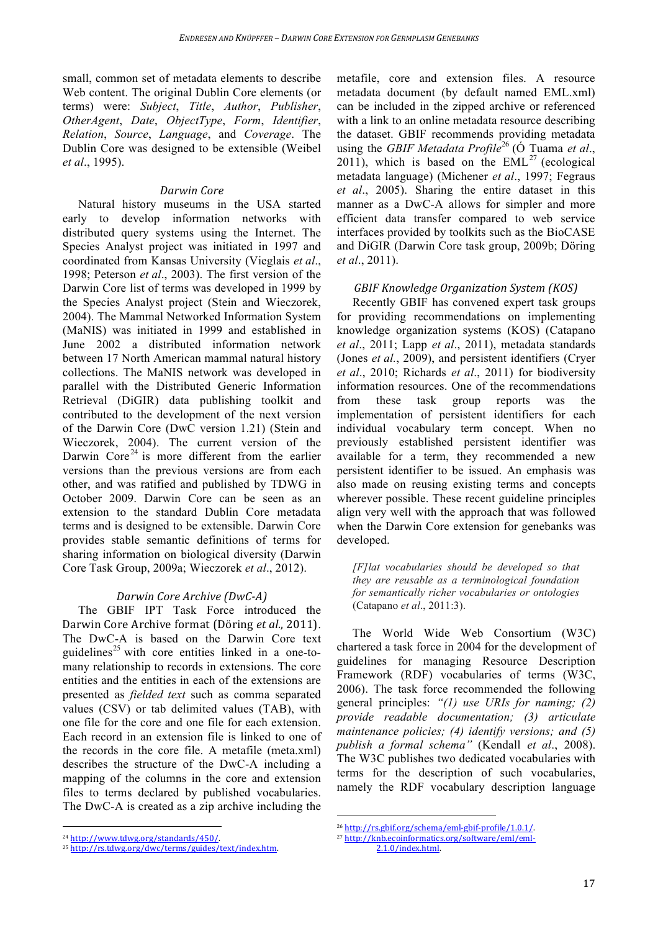small, common set of metadata elements to describe Web content. The original Dublin Core elements (or terms) were: *Subject*, *Title*, *Author*, *Publisher*, *OtherAgent*, *Date*, *ObjectType*, *Form*, *Identifier*, *Relation*, *Source*, *Language*, and *Coverage*. The Dublin Core was designed to be extensible (Weibel *et al*., 1995).

## *Darwin Core*

Natural history museums in the USA started early to develop information networks with distributed query systems using the Internet. The Species Analyst project was initiated in 1997 and coordinated from Kansas University (Vieglais *et al*., 1998; Peterson *et al*., 2003). The first version of the Darwin Core list of terms was developed in 1999 by the Species Analyst project (Stein and Wieczorek, 2004). The Mammal Networked Information System (MaNIS) was initiated in 1999 and established in June 2002 a distributed information network between 17 North American mammal natural history collections. The MaNIS network was developed in parallel with the Distributed Generic Information Retrieval (DiGIR) data publishing toolkit and contributed to the development of the next version of the Darwin Core (DwC version 1.21) (Stein and Wieczorek, 2004). The current version of the Darwin Core<sup>24</sup> is more different from the earlier versions than the previous versions are from each other, and was ratified and published by TDWG in October 2009. Darwin Core can be seen as an extension to the standard Dublin Core metadata terms and is designed to be extensible. Darwin Core provides stable semantic definitions of terms for sharing information on biological diversity (Darwin Core Task Group, 2009a; Wieczorek *et al*., 2012).

# *Darwin Core Archive (DwC-A)*

The GBIF IPT Task Force introduced the Darwin Core Archive format (Döring *et al.*, 2011). The DwC-A is based on the Darwin Core text guidelines<sup>25</sup> with core entities linked in a one-tomany relationship to records in extensions. The core entities and the entities in each of the extensions are presented as *fielded text* such as comma separated values (CSV) or tab delimited values (TAB), with one file for the core and one file for each extension. Each record in an extension file is linked to one of the records in the core file. A metafile (meta.xml) describes the structure of the DwC-A including a mapping of the columns in the core and extension files to terms declared by published vocabularies. The DwC-A is created as a zip archive including the

metafile, core and extension files. A resource metadata document (by default named EML.xml) can be included in the zipped archive or referenced with a link to an online metadata resource describing the dataset. GBIF recommends providing metadata using the *GBIF Metadata Profile*<sup>26</sup> (Ó Tuama *et al*., 2011), which is based on the  $EML<sup>27</sup>$  (ecological metadata language) (Michener *et al*., 1997; Fegraus *et al*., 2005). Sharing the entire dataset in this manner as a DwC-A allows for simpler and more efficient data transfer compared to web service interfaces provided by toolkits such as the BioCASE and DiGIR (Darwin Core task group, 2009b; Döring *et al*., 2011).

## GBIF Knowledge Organization System (KOS)

Recently GBIF has convened expert task groups for providing recommendations on implementing knowledge organization systems (KOS) (Catapano *et al*., 2011; Lapp *et al*., 2011), metadata standards (Jones *et al.*, 2009), and persistent identifiers (Cryer *et al*., 2010; Richards *et al*., 2011) for biodiversity information resources. One of the recommendations from these task group reports was the implementation of persistent identifiers for each individual vocabulary term concept. When no previously established persistent identifier was available for a term, they recommended a new persistent identifier to be issued. An emphasis was also made on reusing existing terms and concepts wherever possible. These recent guideline principles align very well with the approach that was followed when the Darwin Core extension for genebanks was developed.

*[F]lat vocabularies should be developed so that they are reusable as a terminological foundation for semantically richer vocabularies or ontologies* (Catapano *et al*., 2011:3).

The World Wide Web Consortium (W3C) chartered a task force in 2004 for the development of guidelines for managing Resource Description Framework (RDF) vocabularies of terms (W3C, 2006). The task force recommended the following general principles: *"(1) use URIs for naming; (2) provide readable documentation; (3) articulate maintenance policies; (4) identify versions; and (5) publish a formal schema"* (Kendall *et al*., 2008). The W3C publishes two dedicated vocabularies with terms for the description of such vocabularies, namely the RDF vocabulary description language

 <sup>24</sup> http://www.tdwg.org/standards/450/. 

<sup>25</sup> http://rs.tdwg.org/dwc/terms/guides/text/index.htm. 

<sup>26</sup> http://rs.gbif.org/schema/eml-gbif-profile/1.0.1/. <sup>27</sup> http://knb.ecoinformatics.org/software/eml/eml-

<sup>2.1.0/</sup>index.html.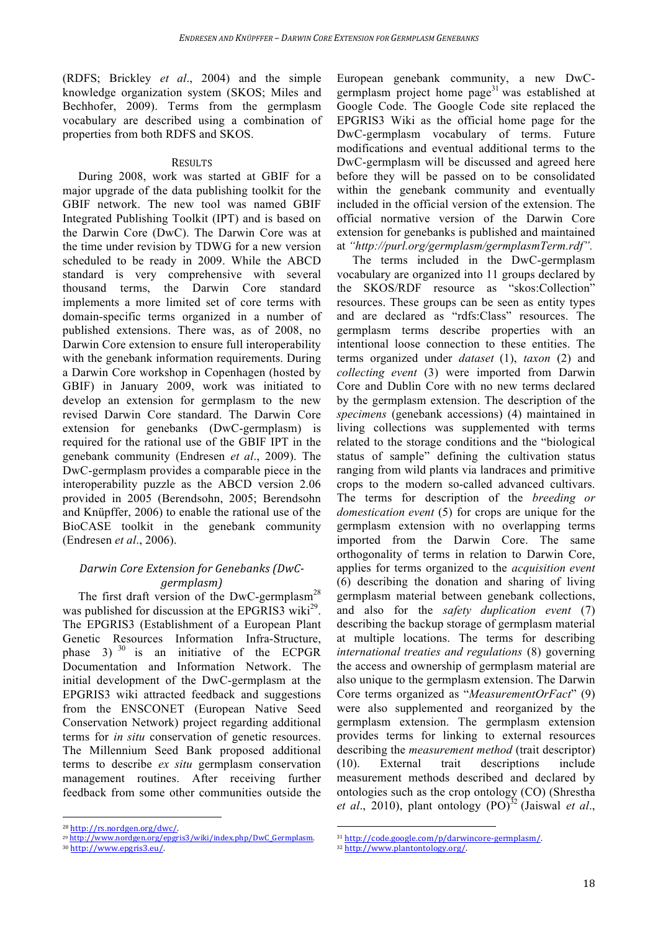(RDFS; Brickley *et al*., 2004) and the simple knowledge organization system (SKOS; Miles and Bechhofer, 2009). Terms from the germplasm vocabulary are described using a combination of properties from both RDFS and SKOS.

### **RESULTS**

During 2008, work was started at GBIF for a major upgrade of the data publishing toolkit for the GBIF network. The new tool was named GBIF Integrated Publishing Toolkit (IPT) and is based on the Darwin Core (DwC). The Darwin Core was at the time under revision by TDWG for a new version scheduled to be ready in 2009. While the ABCD standard is very comprehensive with several thousand terms, the Darwin Core standard implements a more limited set of core terms with domain-specific terms organized in a number of published extensions. There was, as of 2008, no Darwin Core extension to ensure full interoperability with the genebank information requirements. During a Darwin Core workshop in Copenhagen (hosted by GBIF) in January 2009, work was initiated to develop an extension for germplasm to the new revised Darwin Core standard. The Darwin Core extension for genebanks (DwC-germplasm) is required for the rational use of the GBIF IPT in the genebank community (Endresen *et al*., 2009). The DwC-germplasm provides a comparable piece in the interoperability puzzle as the ABCD version 2.06 provided in 2005 (Berendsohn, 2005; Berendsohn and Knüpffer, 2006) to enable the rational use of the BioCASE toolkit in the genebank community (Endresen *et al*., 2006).

# **Darwin Core Extension for Genebanks (DwC***germplasm)*

The first draft version of the DwC-germplasm<sup>28</sup> was published for discussion at the EPGRIS3 wiki<sup>29</sup>. The EPGRIS3 (Establishment of a European Plant Genetic Resources Information Infra-Structure, phase  $3^{30}$  is an initiative of the ECPGR Documentation and Information Network. The initial development of the DwC-germplasm at the EPGRIS3 wiki attracted feedback and suggestions from the ENSCONET (European Native Seed Conservation Network) project regarding additional terms for *in situ* conservation of genetic resources. The Millennium Seed Bank proposed additional terms to describe *ex situ* germplasm conservation management routines. After receiving further feedback from some other communities outside the

 

European genebank community, a new DwCgermplasm project home page<sup>31</sup> was established at Google Code. The Google Code site replaced the EPGRIS3 Wiki as the official home page for the DwC-germplasm vocabulary of terms. Future modifications and eventual additional terms to the DwC-germplasm will be discussed and agreed here before they will be passed on to be consolidated within the genebank community and eventually included in the official version of the extension. The official normative version of the Darwin Core extension for genebanks is published and maintained at *"http://purl.org/germplasm/germplasmTerm.rdf".*

The terms included in the DwC-germplasm vocabulary are organized into 11 groups declared by the SKOS/RDF resource as "skos:Collection" resources. These groups can be seen as entity types and are declared as "rdfs:Class" resources. The germplasm terms describe properties with an intentional loose connection to these entities. The terms organized under *dataset* (1), *taxon* (2) and *collecting event* (3) were imported from Darwin Core and Dublin Core with no new terms declared by the germplasm extension. The description of the *specimens* (genebank accessions) (4) maintained in living collections was supplemented with terms related to the storage conditions and the "biological status of sample" defining the cultivation status ranging from wild plants via landraces and primitive crops to the modern so-called advanced cultivars. The terms for description of the *breeding or domestication event* (5) for crops are unique for the germplasm extension with no overlapping terms imported from the Darwin Core. The same orthogonality of terms in relation to Darwin Core, applies for terms organized to the *acquisition event* (6) describing the donation and sharing of living germplasm material between genebank collections, and also for the *safety duplication event* (7) describing the backup storage of germplasm material at multiple locations. The terms for describing *international treaties and regulations* (8) governing the access and ownership of germplasm material are also unique to the germplasm extension. The Darwin Core terms organized as "*MeasurementOrFact*" (9) were also supplemented and reorganized by the germplasm extension. The germplasm extension provides terms for linking to external resources describing the *measurement method* (trait descriptor) (10). External trait descriptions include measurement methods described and declared by ontologies such as the crop ontology (CO) (Shrestha *et al.*, 2010), plant ontology  $(PO)^{32}$  (Jaiswal *et al.*,

<sup>28</sup> http://rs.nordgen.org/dwc/. 

<sup>&</sup>lt;sup>29</sup> http://www.nordgen.org/epgris3/wiki/index.php/DwC\_Germplasm.

<sup>30</sup> http://www.epgris3.eu/. 

<sup>31</sup> http://code.google.com/p/darwincore-germplasm/. 

<sup>32</sup> http://www.plantontology.org/.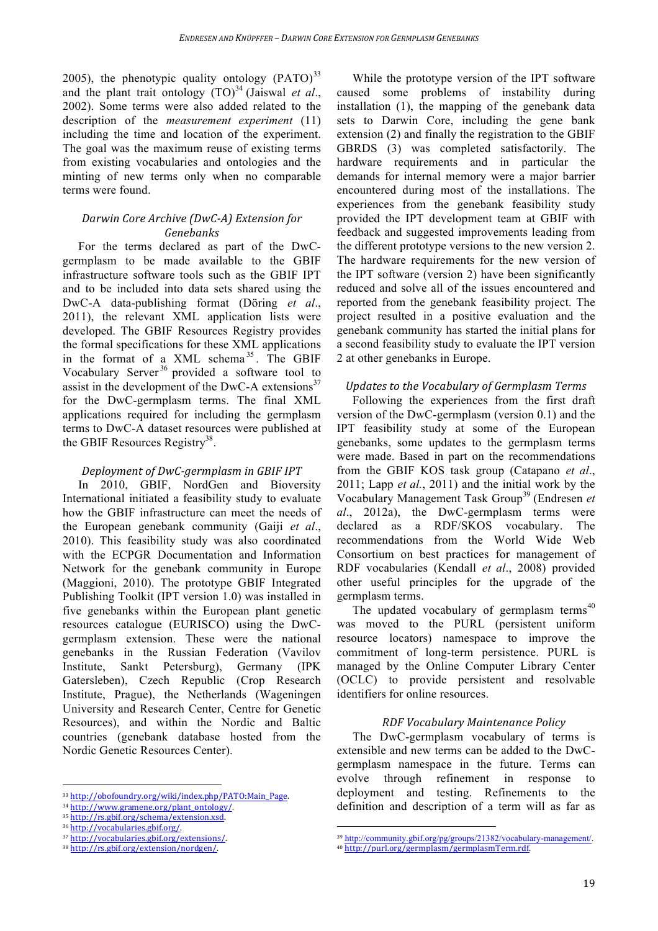2005), the phenotypic quality ontology  $(PATO)^{33}$ and the plant trait ontology  $(TO)^{34}$  (Jaiswal *et al.*, 2002). Some terms were also added related to the description of the *measurement experiment* (11) including the time and location of the experiment. The goal was the maximum reuse of existing terms from existing vocabularies and ontologies and the minting of new terms only when no comparable terms were found.

## *Darwin Core Archive (DwC-A)* Extension for *Genebanks*

For the terms declared as part of the DwCgermplasm to be made available to the GBIF infrastructure software tools such as the GBIF IPT and to be included into data sets shared using the DwC-A data-publishing format (Döring *et al*., 2011), the relevant XML application lists were developed. The GBIF Resources Registry provides the formal specifications for these XML applications in the format of a XML schema  $35$ . The GBIF Vocabulary Server<sup>36</sup> provided a software tool to assist in the development of the DwC-A extensions<sup> $37$ </sup> for the DwC-germplasm terms. The final XML applications required for including the germplasm terms to DwC-A dataset resources were published at the GBIF Resources Registry<sup>38</sup>.

## *Deployment of DwC-germplasm in GBIF IPT*

In 2010, GBIF, NordGen and Bioversity International initiated a feasibility study to evaluate how the GBIF infrastructure can meet the needs of the European genebank community (Gaiji *et al*., 2010). This feasibility study was also coordinated with the ECPGR Documentation and Information Network for the genebank community in Europe (Maggioni, 2010). The prototype GBIF Integrated Publishing Toolkit (IPT version 1.0) was installed in five genebanks within the European plant genetic resources catalogue (EURISCO) using the DwCgermplasm extension. These were the national genebanks in the Russian Federation (Vavilov Institute, Sankt Petersburg), Germany (IPK Gatersleben), Czech Republic (Crop Research Institute, Prague), the Netherlands (Wageningen University and Research Center, Centre for Genetic Resources), and within the Nordic and Baltic countries (genebank database hosted from the Nordic Genetic Resources Center).

 

While the prototype version of the IPT software caused some problems of instability during installation (1), the mapping of the genebank data sets to Darwin Core, including the gene bank extension (2) and finally the registration to the GBIF GBRDS (3) was completed satisfactorily. The hardware requirements and in particular the demands for internal memory were a major barrier encountered during most of the installations. The experiences from the genebank feasibility study provided the IPT development team at GBIF with feedback and suggested improvements leading from the different prototype versions to the new version 2. The hardware requirements for the new version of the IPT software (version 2) have been significantly reduced and solve all of the issues encountered and reported from the genebank feasibility project. The project resulted in a positive evaluation and the genebank community has started the initial plans for a second feasibility study to evaluate the IPT version 2 at other genebanks in Europe.

### *Updates to the Vocabulary of Germplasm Terms*

Following the experiences from the first draft version of the DwC-germplasm (version 0.1) and the IPT feasibility study at some of the European genebanks, some updates to the germplasm terms were made. Based in part on the recommendations from the GBIF KOS task group (Catapano *et al*., 2011; Lapp *et al.*, 2011) and the initial work by the Vocabulary Management Task Group<sup>39</sup> (Endresen *et al*., 2012a), the DwC-germplasm terms were declared as a RDF/SKOS vocabulary. The recommendations from the World Wide Web Consortium on best practices for management of RDF vocabularies (Kendall *et al*., 2008) provided other useful principles for the upgrade of the germplasm terms.

The updated vocabulary of germplasm terms $40$ was moved to the PURL (persistent uniform resource locators) namespace to improve the commitment of long-term persistence. PURL is managed by the Online Computer Library Center (OCLC) to provide persistent and resolvable identifiers for online resources.

### *RDF Vocabulary Maintenance Policy*

The DwC-germplasm vocabulary of terms is extensible and new terms can be added to the DwCgermplasm namespace in the future. Terms can evolve through refinement in response to deployment and testing. Refinements to the definition and description of a term will as far as

<sup>33</sup> http://obofoundry.org/wiki/index.php/PATO:Main\_Page. 

<sup>34</sup> http://www.gramene.org/plant\_ontology/. 

<sup>35</sup> http://rs.gbif.org/schema/extension.xsd. 

<sup>36</sup> http://vocabularies.gbif.org/. 

<sup>37</sup> http://vocabularies.gbif.org/extensions/. 

<sup>38</sup> http://rs.gbif.org/extension/nordgen/. 

<sup>39</sup> http://community.gbif.org/pg/groups/21382/vocabulary-management/.

<sup>40</sup> http://purl.org/germplasm/germplasmTerm.rdf.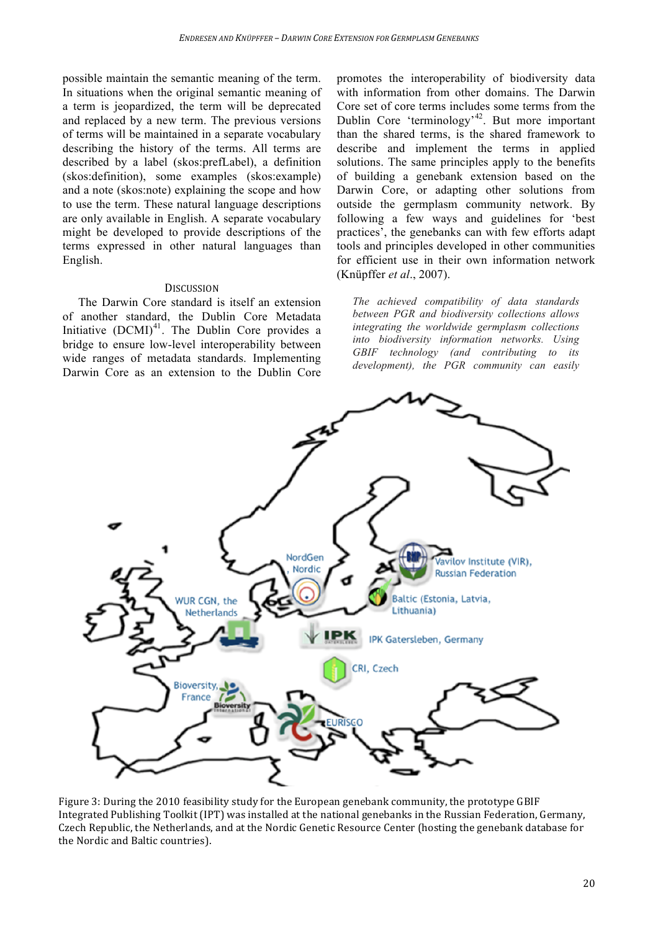possible maintain the semantic meaning of the term. In situations when the original semantic meaning of a term is jeopardized, the term will be deprecated and replaced by a new term. The previous versions of terms will be maintained in a separate vocabulary describing the history of the terms. All terms are described by a label (skos:prefLabel), a definition (skos:definition), some examples (skos:example) and a note (skos:note) explaining the scope and how to use the term. These natural language descriptions are only available in English. A separate vocabulary might be developed to provide descriptions of the terms expressed in other natural languages than English.

### **DISCUSSION**

The Darwin Core standard is itself an extension of another standard, the Dublin Core Metadata Initiative  $(DCMI)<sup>41</sup>$ . The Dublin Core provides a bridge to ensure low-level interoperability between wide ranges of metadata standards. Implementing Darwin Core as an extension to the Dublin Core

promotes the interoperability of biodiversity data with information from other domains. The Darwin Core set of core terms includes some terms from the Dublin Core 'terminology'<sup>42</sup>. But more important than the shared terms, is the shared framework to describe and implement the terms in applied solutions. The same principles apply to the benefits of building a genebank extension based on the Darwin Core, or adapting other solutions from outside the germplasm community network. By following a few ways and guidelines for 'best practices', the genebanks can with few efforts adapt tools and principles developed in other communities for efficient use in their own information network (Knüpffer *et al*., 2007).

*The achieved compatibility of data standards between PGR and biodiversity collections allows integrating the worldwide germplasm collections into biodiversity information networks. Using GBIF technology (and contributing to its development), the PGR community can easily* 



zeen Republic, the Retherlands, al<br>he Nordic and Raltic countries) the Nordic and Baltic countries). Czech Republic, the Netherlands, and at the Nordic Genetic Resource Center (hosting the genebank database for<br>the Nordic and Baltic countries) Figure 3: During the 2010 feasibility study for the European genebank community, the prototype GBIF Integrated Publishing Toolkit (IPT) was installed at the national genebanks in the Russian Federation, Germany,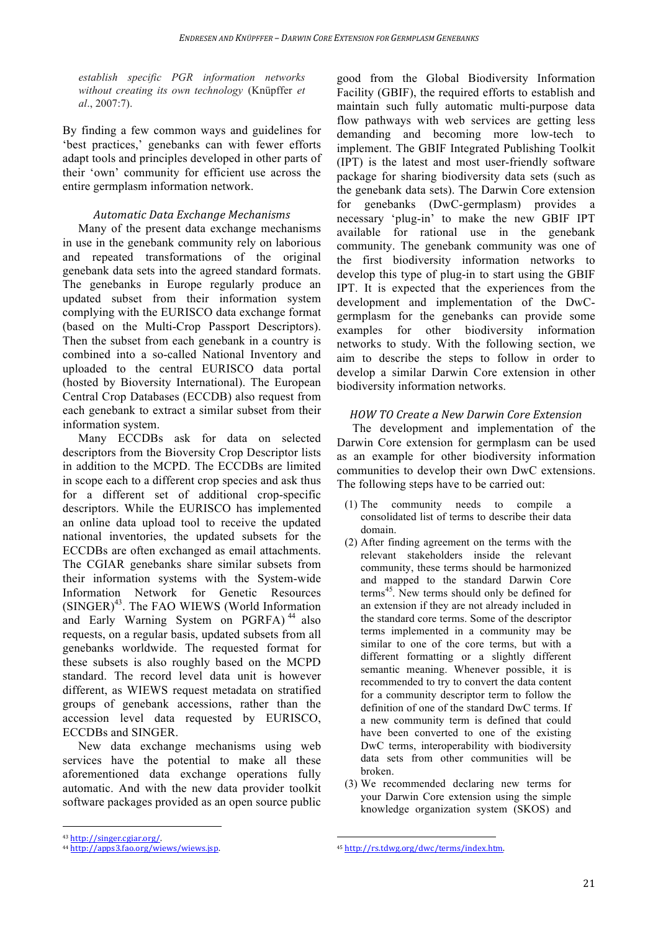*establish specific PGR information networks without creating its own technology* (Knüpffer *et al*., 2007:7).

By finding a few common ways and guidelines for 'best practices,' genebanks can with fewer efforts adapt tools and principles developed in other parts of their 'own' community for efficient use across the entire germplasm information network.

## *Automatic Data Exchange Mechanisms*

Many of the present data exchange mechanisms in use in the genebank community rely on laborious and repeated transformations of the original genebank data sets into the agreed standard formats. The genebanks in Europe regularly produce an updated subset from their information system complying with the EURISCO data exchange format (based on the Multi-Crop Passport Descriptors). Then the subset from each genebank in a country is combined into a so-called National Inventory and uploaded to the central EURISCO data portal (hosted by Bioversity International). The European Central Crop Databases (ECCDB) also request from each genebank to extract a similar subset from their information system.

Many ECCDBs ask for data on selected descriptors from the Bioversity Crop Descriptor lists in addition to the MCPD. The ECCDBs are limited in scope each to a different crop species and ask thus for a different set of additional crop-specific descriptors. While the EURISCO has implemented an online data upload tool to receive the updated national inventories, the updated subsets for the ECCDBs are often exchanged as email attachments. The CGIAR genebanks share similar subsets from their information systems with the System-wide Information Network for Genetic Resources (SINGER)43. The FAO WIEWS (World Information and Early Warning System on PGRFA)<sup>44</sup> also requests, on a regular basis, updated subsets from all genebanks worldwide. The requested format for these subsets is also roughly based on the MCPD standard. The record level data unit is however different, as WIEWS request metadata on stratified groups of genebank accessions, rather than the accession level data requested by EURISCO, ECCDBs and SINGER.

New data exchange mechanisms using web services have the potential to make all these aforementioned data exchange operations fully automatic. And with the new data provider toolkit software packages provided as an open source public

good from the Global Biodiversity Information Facility (GBIF), the required efforts to establish and maintain such fully automatic multi-purpose data flow pathways with web services are getting less demanding and becoming more low-tech to implement. The GBIF Integrated Publishing Toolkit (IPT) is the latest and most user-friendly software package for sharing biodiversity data sets (such as the genebank data sets). The Darwin Core extension for genebanks (DwC-germplasm) provides a necessary 'plug-in' to make the new GBIF IPT available for rational use in the genebank community. The genebank community was one of the first biodiversity information networks to develop this type of plug-in to start using the GBIF IPT. It is expected that the experiences from the development and implementation of the DwCgermplasm for the genebanks can provide some examples for other biodiversity information networks to study. With the following section, we aim to describe the steps to follow in order to develop a similar Darwin Core extension in other biodiversity information networks.

## *HOW TO Create a New Darwin Core Extension*

The development and implementation of the Darwin Core extension for germplasm can be used as an example for other biodiversity information communities to develop their own DwC extensions. The following steps have to be carried out:

- (1) The community needs to compile a consolidated list of terms to describe their data domain.
- (2) After finding agreement on the terms with the relevant stakeholders inside the relevant community, these terms should be harmonized and mapped to the standard Darwin Core terms<sup>45</sup>. New terms should only be defined for an extension if they are not already included in the standard core terms. Some of the descriptor terms implemented in a community may be similar to one of the core terms, but with a different formatting or a slightly different semantic meaning. Whenever possible, it is recommended to try to convert the data content for a community descriptor term to follow the definition of one of the standard DwC terms. If a new community term is defined that could have been converted to one of the existing DwC terms, interoperability with biodiversity data sets from other communities will be broken.
- (3) We recommended declaring new terms for your Darwin Core extension using the simple knowledge organization system (SKOS) and

<sup>43</sup> http://singer.cgiar.org/. 

<sup>44</sup> http://apps3.fao.org/wiews/wiews.jsp. 

 <sup>45</sup> http://rs.tdwg.org/dwc/terms/index.htm.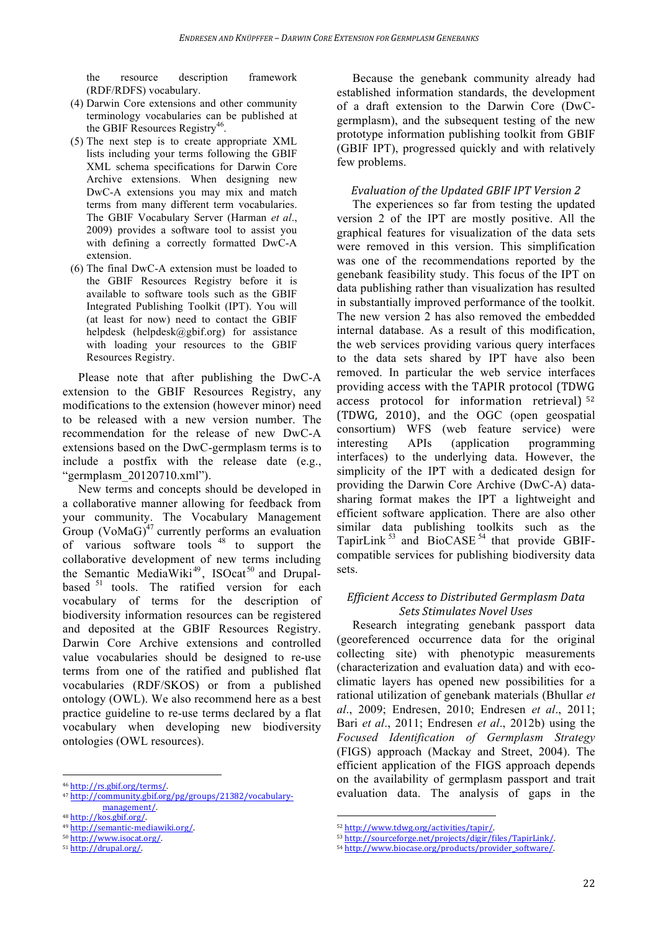the resource description framework (RDF/RDFS) vocabulary.

- (4) Darwin Core extensions and other community terminology vocabularies can be published at the GBIF Resources Registry<sup>46</sup>.
- (5) The next step is to create appropriate XML lists including your terms following the GBIF XML schema specifications for Darwin Core Archive extensions. When designing new DwC-A extensions you may mix and match terms from many different term vocabularies. The GBIF Vocabulary Server (Harman *et al*., 2009) provides a software tool to assist you with defining a correctly formatted DwC-A extension.
- (6) The final DwC-A extension must be loaded to the GBIF Resources Registry before it is available to software tools such as the GBIF Integrated Publishing Toolkit (IPT). You will (at least for now) need to contact the GBIF helpdesk (helpdesk@gbif.org) for assistance with loading your resources to the GBIF Resources Registry.

Please note that after publishing the DwC-A extension to the GBIF Resources Registry, any modifications to the extension (however minor) need to be released with a new version number. The recommendation for the release of new DwC-A extensions based on the DwC-germplasm terms is to include a postfix with the release date (e.g., "germplasm\_20120710.xml").

New terms and concepts should be developed in a collaborative manner allowing for feedback from your community. The Vocabulary Management Group (VoMaG) $47$  currently performs an evaluation of various software tools <sup>48</sup> to support the collaborative development of new terms including the Semantic MediaWiki<sup>49</sup>, ISOcat<sup>50</sup> and Drupalbased <sup>51</sup> tools. The ratified version for each vocabulary of terms for the description of biodiversity information resources can be registered and deposited at the GBIF Resources Registry. Darwin Core Archive extensions and controlled value vocabularies should be designed to re-use terms from one of the ratified and published flat vocabularies (RDF/SKOS) or from a published ontology (OWL). We also recommend here as a best practice guideline to re-use terms declared by a flat vocabulary when developing new biodiversity ontologies (OWL resources).

 

Because the genebank community already had established information standards, the development of a draft extension to the Darwin Core (DwCgermplasm), and the subsequent testing of the new prototype information publishing toolkit from GBIF (GBIF IPT), progressed quickly and with relatively few problems.

#### **Evaluation of the Updated GBIF IPT Version 2**

The experiences so far from testing the updated version 2 of the IPT are mostly positive. All the graphical features for visualization of the data sets were removed in this version. This simplification was one of the recommendations reported by the genebank feasibility study. This focus of the IPT on data publishing rather than visualization has resulted in substantially improved performance of the toolkit. The new version 2 has also removed the embedded internal database. As a result of this modification, the web services providing various query interfaces to the data sets shared by IPT have also been removed. In particular the web service interfaces providing access with the TAPIR protocol (TDWG access protocol for information retrieval) <sup>52</sup> (TDWG, 2010), and the OGC (open geospatial consortium) WFS (web feature service) were interesting APIs (application programming interfaces) to the underlying data. However, the simplicity of the IPT with a dedicated design for providing the Darwin Core Archive (DwC-A) datasharing format makes the IPT a lightweight and efficient software application. There are also other similar data publishing toolkits such as the TapirLink  $^{53}$  and BioCASE<sup>54</sup> that provide GBIFcompatible services for publishing biodiversity data sets.

### *Efficient Access to Distributed Germplasm Data Sets Stimulates Novel Uses*

Research integrating genebank passport data (georeferenced occurrence data for the original collecting site) with phenotypic measurements (characterization and evaluation data) and with ecoclimatic layers has opened new possibilities for a rational utilization of genebank materials (Bhullar *et al*., 2009; Endresen, 2010; Endresen *et al*., 2011; Bari *et al*., 2011; Endresen *et al*., 2012b) using the *Focused Identification of Germplasm Strategy* (FIGS) approach (Mackay and Street, 2004). The efficient application of the FIGS approach depends on the availability of germplasm passport and trait evaluation data. The analysis of gaps in the

<sup>46</sup> http://rs.gbif.org/terms/. 

<sup>47</sup> http://community.gbif.org/pg/groups/21382/vocabularymanagement/. 

<sup>48</sup> http://kos.gbif.org/. 

<sup>49</sup> http://semantic-mediawiki.org/. <sup>50</sup> http://www.isocat.org/. 

<sup>51</sup> http://drupal.org/. 

 <sup>52</sup> http://www.tdwg.org/activities/tapir/. 

<sup>53</sup> http://sourceforge.net/projects/digir/files/TapirLink/. 

<sup>54</sup> http://www.biocase.org/products/provider\_software/.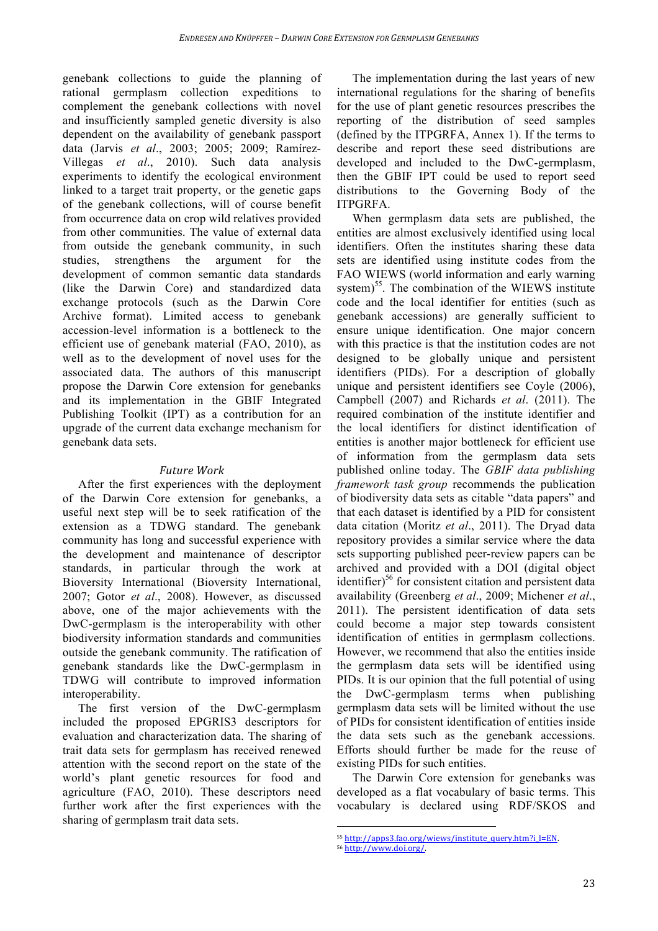genebank collections to guide the planning of rational germplasm collection expeditions to complement the genebank collections with novel and insufficiently sampled genetic diversity is also dependent on the availability of genebank passport data (Jarvis *et al*., 2003; 2005; 2009; Ramírez-Villegas *et al*., 2010). Such data analysis experiments to identify the ecological environment linked to a target trait property, or the genetic gaps of the genebank collections, will of course benefit from occurrence data on crop wild relatives provided from other communities. The value of external data from outside the genebank community, in such studies, strengthens the argument for the development of common semantic data standards (like the Darwin Core) and standardized data exchange protocols (such as the Darwin Core Archive format). Limited access to genebank accession-level information is a bottleneck to the efficient use of genebank material (FAO, 2010), as well as to the development of novel uses for the associated data. The authors of this manuscript propose the Darwin Core extension for genebanks and its implementation in the GBIF Integrated Publishing Toolkit (IPT) as a contribution for an upgrade of the current data exchange mechanism for genebank data sets.

## *Future Work*

After the first experiences with the deployment of the Darwin Core extension for genebanks, a useful next step will be to seek ratification of the extension as a TDWG standard. The genebank community has long and successful experience with the development and maintenance of descriptor standards, in particular through the work at Bioversity International (Bioversity International, 2007; Gotor *et al*., 2008). However, as discussed above, one of the major achievements with the DwC-germplasm is the interoperability with other biodiversity information standards and communities outside the genebank community. The ratification of genebank standards like the DwC-germplasm in TDWG will contribute to improved information interoperability.

The first version of the DwC-germplasm included the proposed EPGRIS3 descriptors for evaluation and characterization data. The sharing of trait data sets for germplasm has received renewed attention with the second report on the state of the world's plant genetic resources for food and agriculture (FAO, 2010). These descriptors need further work after the first experiences with the sharing of germplasm trait data sets.

The implementation during the last years of new international regulations for the sharing of benefits for the use of plant genetic resources prescribes the reporting of the distribution of seed samples (defined by the ITPGRFA, Annex 1). If the terms to describe and report these seed distributions are developed and included to the DwC-germplasm, then the GBIF IPT could be used to report seed distributions to the Governing Body of the ITPGRFA.

When germplasm data sets are published, the entities are almost exclusively identified using local identifiers. Often the institutes sharing these data sets are identified using institute codes from the FAO WIEWS (world information and early warning system) $55$ . The combination of the WIEWS institute code and the local identifier for entities (such as genebank accessions) are generally sufficient to ensure unique identification. One major concern with this practice is that the institution codes are not designed to be globally unique and persistent identifiers (PIDs). For a description of globally unique and persistent identifiers see Coyle (2006), Campbell (2007) and Richards *et al*. (2011). The required combination of the institute identifier and the local identifiers for distinct identification of entities is another major bottleneck for efficient use of information from the germplasm data sets published online today. The *GBIF data publishing framework task group* recommends the publication of biodiversity data sets as citable "data papers" and that each dataset is identified by a PID for consistent data citation (Moritz *et al*., 2011). The Dryad data repository provides a similar service where the data sets supporting published peer-review papers can be archived and provided with a DOI (digital object identifier) $56$  for consistent citation and persistent data availability (Greenberg *et al*., 2009; Michener *et al*., 2011). The persistent identification of data sets could become a major step towards consistent identification of entities in germplasm collections. However, we recommend that also the entities inside the germplasm data sets will be identified using PIDs. It is our opinion that the full potential of using the DwC-germplasm terms when publishing germplasm data sets will be limited without the use of PIDs for consistent identification of entities inside the data sets such as the genebank accessions. Efforts should further be made for the reuse of existing PIDs for such entities.

The Darwin Core extension for genebanks was developed as a flat vocabulary of basic terms. This vocabulary is declared using RDF/SKOS and

<sup>55</sup> http://apps3.fao.org/wiews/institute\_query.htm?i\_l=EN. 

<sup>56</sup> http://www.doi.org/.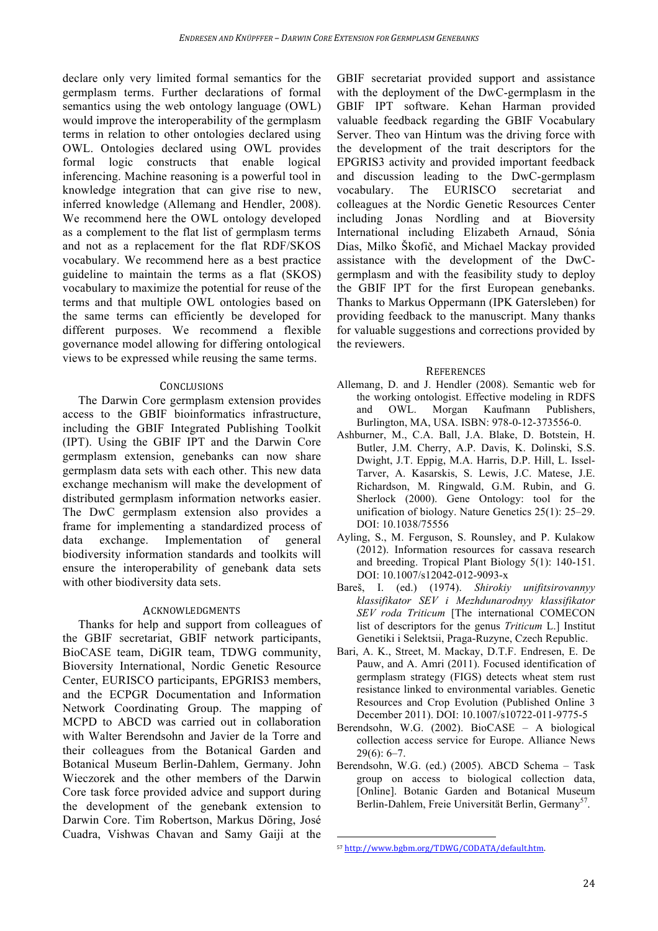declare only very limited formal semantics for the germplasm terms. Further declarations of formal semantics using the web ontology language (OWL) would improve the interoperability of the germplasm terms in relation to other ontologies declared using OWL. Ontologies declared using OWL provides formal logic constructs that enable logical inferencing. Machine reasoning is a powerful tool in knowledge integration that can give rise to new, inferred knowledge (Allemang and Hendler, 2008). We recommend here the OWL ontology developed as a complement to the flat list of germplasm terms and not as a replacement for the flat RDF/SKOS vocabulary. We recommend here as a best practice guideline to maintain the terms as a flat (SKOS) vocabulary to maximize the potential for reuse of the terms and that multiple OWL ontologies based on the same terms can efficiently be developed for different purposes. We recommend a flexible governance model allowing for differing ontological views to be expressed while reusing the same terms.

#### CONCLUSIONS

The Darwin Core germplasm extension provides access to the GBIF bioinformatics infrastructure, including the GBIF Integrated Publishing Toolkit (IPT). Using the GBIF IPT and the Darwin Core germplasm extension, genebanks can now share germplasm data sets with each other. This new data exchange mechanism will make the development of distributed germplasm information networks easier. The DwC germplasm extension also provides a frame for implementing a standardized process of data exchange. Implementation of general biodiversity information standards and toolkits will ensure the interoperability of genebank data sets with other biodiversity data sets.

#### ACKNOWLEDGMENTS

Thanks for help and support from colleagues of the GBIF secretariat, GBIF network participants, BioCASE team, DiGIR team, TDWG community, Bioversity International, Nordic Genetic Resource Center, EURISCO participants, EPGRIS3 members, and the ECPGR Documentation and Information Network Coordinating Group. The mapping of MCPD to ABCD was carried out in collaboration with Walter Berendsohn and Javier de la Torre and their colleagues from the Botanical Garden and Botanical Museum Berlin-Dahlem, Germany. John Wieczorek and the other members of the Darwin Core task force provided advice and support during the development of the genebank extension to Darwin Core. Tim Robertson, Markus Döring, José Cuadra, Vishwas Chavan and Samy Gaiji at the

GBIF secretariat provided support and assistance with the deployment of the DwC-germplasm in the GBIF IPT software. Kehan Harman provided valuable feedback regarding the GBIF Vocabulary Server. Theo van Hintum was the driving force with the development of the trait descriptors for the EPGRIS3 activity and provided important feedback and discussion leading to the DwC-germplasm vocabulary. The EURISCO secretariat and colleagues at the Nordic Genetic Resources Center including Jonas Nordling and at Bioversity International including Elizabeth Arnaud, Sónia Dias, Milko Škofič, and Michael Mackay provided assistance with the development of the DwCgermplasm and with the feasibility study to deploy the GBIF IPT for the first European genebanks. Thanks to Markus Oppermann (IPK Gatersleben) for providing feedback to the manuscript. Many thanks for valuable suggestions and corrections provided by the reviewers.

#### **REFERENCES**

- Allemang, D. and J. Hendler (2008). Semantic web for the working ontologist. Effective modeling in RDFS and OWL. Morgan Kaufmann Publishers, Burlington, MA, USA. ISBN: 978-0-12-373556-0.
- Ashburner, M., C.A. Ball, J.A. Blake, D. Botstein, H. Butler, J.M. Cherry, A.P. Davis, K. Dolinski, S.S. Dwight, J.T. Eppig, M.A. Harris, D.P. Hill, L. Issel-Tarver, A. Kasarskis, S. Lewis, J.C. Matese, J.E. Richardson, M. Ringwald, G.M. Rubin, and G. Sherlock (2000). Gene Ontology: tool for the unification of biology. Nature Genetics 25(1): 25–29. DOI: 10.1038/75556
- Ayling, S., M. Ferguson, S. Rounsley, and P. Kulakow (2012). Information resources for cassava research and breeding. Tropical Plant Biology 5(1): 140-151. DOI: 10.1007/s12042-012-9093-x
- Bareš, I. (ed.) (1974). *Shirokiy unifitsirovannyy klassifikator SEV i Mezhdunarodnyy klassifikator SEV roda Triticum* [The international COMECON list of descriptors for the genus *Triticum* L.] Institut Genetiki i Selektsii, Praga-Ruzyne, Czech Republic.
- Bari, A. K., Street, M. Mackay, D.T.F. Endresen, E. De Pauw, and A. Amri (2011). Focused identification of germplasm strategy (FIGS) detects wheat stem rust resistance linked to environmental variables. Genetic Resources and Crop Evolution (Published Online 3 December 2011). DOI: 10.1007/s10722-011-9775-5
- Berendsohn, W.G. (2002). BioCASE A biological collection access service for Europe. Alliance News  $29(6): 6-7.$
- Berendsohn, W.G. (ed.) (2005). ABCD Schema Task group on access to biological collection data, [Online]. Botanic Garden and Botanical Museum Berlin-Dahlem, Freie Universität Berlin, Germany<sup>57</sup>.

<sup>57</sup> http://www.bgbm.org/TDWG/CODATA/default.htm.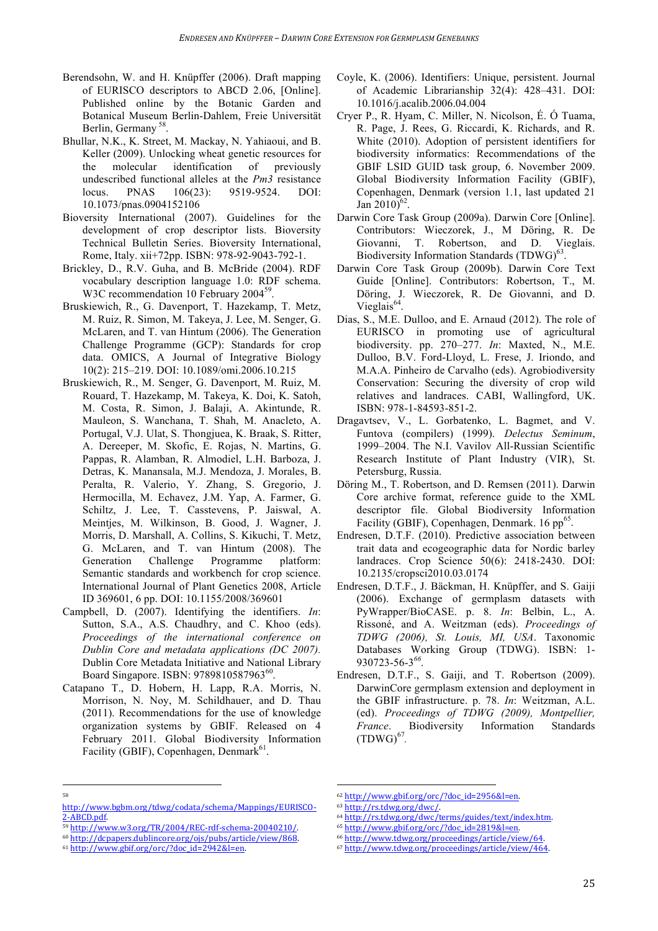- Berendsohn, W. and H. Knüpffer (2006). Draft mapping of EURISCO descriptors to ABCD 2.06, [Online]. Published online by the Botanic Garden and Botanical Museum Berlin-Dahlem, Freie Universität Berlin, Germany<sup>58</sup>.
- Bhullar, N.K., K. Street, M. Mackay, N. Yahiaoui, and B. Keller (2009). Unlocking wheat genetic resources for the molecular identification of previously undescribed functional alleles at the *Pm3* resistance locus. PNAS 106(23): 9519-9524. DOI: 10.1073/pnas.0904152106
- Bioversity International (2007). Guidelines for the development of crop descriptor lists. Bioversity Technical Bulletin Series. Bioversity International, Rome, Italy. xii+72pp. ISBN: 978-92-9043-792-1.
- Brickley, D., R.V. Guha, and B. McBride (2004). RDF vocabulary description language 1.0: RDF schema. W3C recommendation 10 February 2004<sup>59</sup>.
- Bruskiewich, R., G. Davenport, T. Hazekamp, T. Metz, M. Ruiz, R. Simon, M. Takeya, J. Lee, M. Senger, G. McLaren, and T. van Hintum (2006). The Generation Challenge Programme (GCP): Standards for crop data. OMICS, A Journal of Integrative Biology 10(2): 215–219. DOI: 10.1089/omi.2006.10.215
- Bruskiewich, R., M. Senger, G. Davenport, M. Ruiz, M. Rouard, T. Hazekamp, M. Takeya, K. Doi, K. Satoh, M. Costa, R. Simon, J. Balaji, A. Akintunde, R. Mauleon, S. Wanchana, T. Shah, M. Anacleto, A. Portugal, V.J. Ulat, S. Thongjuea, K. Braak, S. Ritter, A. Dereeper, M. Skofic, E. Rojas, N. Martins, G. Pappas, R. Alamban, R. Almodiel, L.H. Barboza, J. Detras, K. Manansala, M.J. Mendoza, J. Morales, B. Peralta, R. Valerio, Y. Zhang, S. Gregorio, J. Hermocilla, M. Echavez, J.M. Yap, A. Farmer, G. Schiltz, J. Lee, T. Casstevens, P. Jaiswal, A. Meintjes, M. Wilkinson, B. Good, J. Wagner, J. Morris, D. Marshall, A. Collins, S. Kikuchi, T. Metz, G. McLaren, and T. van Hintum (2008). The Generation Challenge Programme platform: Semantic standards and workbench for crop science. International Journal of Plant Genetics 2008, Article ID 369601, 6 pp. DOI: 10.1155/2008/369601
- Campbell, D. (2007). Identifying the identifiers. *In*: Sutton, S.A., A.S. Chaudhry, and C. Khoo (eds). *Proceedings of the international conference on Dublin Core and metadata applications (DC 2007).* Dublin Core Metadata Initiative and National Library Board Singapore. ISBN: 9789810587963<sup>60</sup>.
- Catapano T., D. Hobern, H. Lapp, R.A. Morris, N. Morrison, N. Noy, M. Schildhauer, and D. Thau (2011). Recommendations for the use of knowledge organization systems by GBIF. Released on 4 February 2011. Global Biodiversity Information Facility (GBIF), Copenhagen, Denmark<sup>6</sup>
- Coyle, K. (2006). Identifiers: Unique, persistent. Journal of Academic Librarianship 32(4): 428–431. DOI: 10.1016/j.acalib.2006.04.004
- Cryer P., R. Hyam, C. Miller, N. Nicolson, É. Ó Tuama, R. Page, J. Rees, G. Riccardi, K. Richards, and R. White (2010). Adoption of persistent identifiers for biodiversity informatics: Recommendations of the GBIF LSID GUID task group, 6. November 2009. Global Biodiversity Information Facility (GBIF), Copenhagen, Denmark (version 1.1, last updated 21 Jan 2010) $^{62}$ .
- Darwin Core Task Group (2009a). Darwin Core [Online]. Contributors: Wieczorek, J., M Döring, R. De Giovanni, T. Robertson, and D. Vieglais. Biodiversity Information Standards (TDWG)<sup>63</sup>.
- Darwin Core Task Group (2009b). Darwin Core Text Guide [Online]. Contributors: Robertson, T., M. Döring, J. Wieczorek, R. De Giovanni, and D. Vieglais<sup>64</sup>.
- Dias, S., M.E. Dulloo, and E. Arnaud (2012). The role of EURISCO in promoting use of agricultural biodiversity. pp. 270–277. *In*: Maxted, N., M.E. Dulloo, B.V. Ford-Lloyd, L. Frese, J. Iriondo, and M.A.A. Pinheiro de Carvalho (eds). Agrobiodiversity Conservation: Securing the diversity of crop wild relatives and landraces. CABI, Wallingford, UK. ISBN: 978-1-84593-851-2.
- Dragavtsev, V., L. Gorbatenko, L. Bagmet, and V. Funtova (compilers) (1999). *Delectus Seminum*, 1999–2004. The N.I. Vavilov All-Russian Scientific Research Institute of Plant Industry (VIR), St. Petersburg, Russia.
- Döring M., T. Robertson, and D. Remsen (2011). Darwin Core archive format, reference guide to the XML descriptor file. Global Biodiversity Information Facility (GBIF), Copenhagen, Denmark. 16 pp<sup>65</sup>.
- Endresen, D.T.F. (2010). Predictive association between trait data and ecogeographic data for Nordic barley landraces. Crop Science 50(6): 2418-2430. DOI: 10.2135/cropsci2010.03.0174
- Endresen, D.T.F., J. Bäckman, H. Knüpffer, and S. Gaiji (2006). Exchange of germplasm datasets with PyWrapper/BioCASE. p. 8. *In*: Belbin, L., A. Rissoné, and A. Weitzman (eds). *Proceedings of TDWG (2006), St. Louis, MI, USA*. Taxonomic Databases Working Group (TDWG). ISBN: 1- 930723-56-3*<sup>66</sup>*.
- Endresen, D.T.F., S. Gaiji, and T. Robertson (2009). DarwinCore germplasm extension and deployment in the GBIF infrastructure. p. 78. *In*: Weitzman, A.L. (ed). *Proceedings of TDWG (2009), Montpellier, France*. Biodiversity Information Standards  $(TDWG)^{67}$ .

 

<sup>65</sup> http://www.gbif.org/orc/?doc\_id=2819&l=en. 

 58

http://www.bgbm.org/tdwg/codata/schema/Mappings/EURISCO-2-ABCD.pdf. 

<sup>59</sup> http://www.w3.org/TR/2004/REC-rdf-schema-20040210/. 

<sup>60</sup> http://dcpapers.dublincore.org/ojs/pubs/article/view/868. 

<sup>61</sup> http://www.gbif.org/orc/?doc\_id=2942&l=en. 

<sup>62</sup> http://www.gbif.org/orc/?doc\_id=2956&l=en. 

<sup>63</sup> http://rs.tdwg.org/dwc/. 

<sup>64</sup> http://rs.tdwg.org/dwc/terms/guides/text/index.htm. 

<sup>66</sup> http://www.tdwg.org/proceedings/article/view/64.

<sup>67</sup> http://www.tdwg.org/proceedings/article/view/464.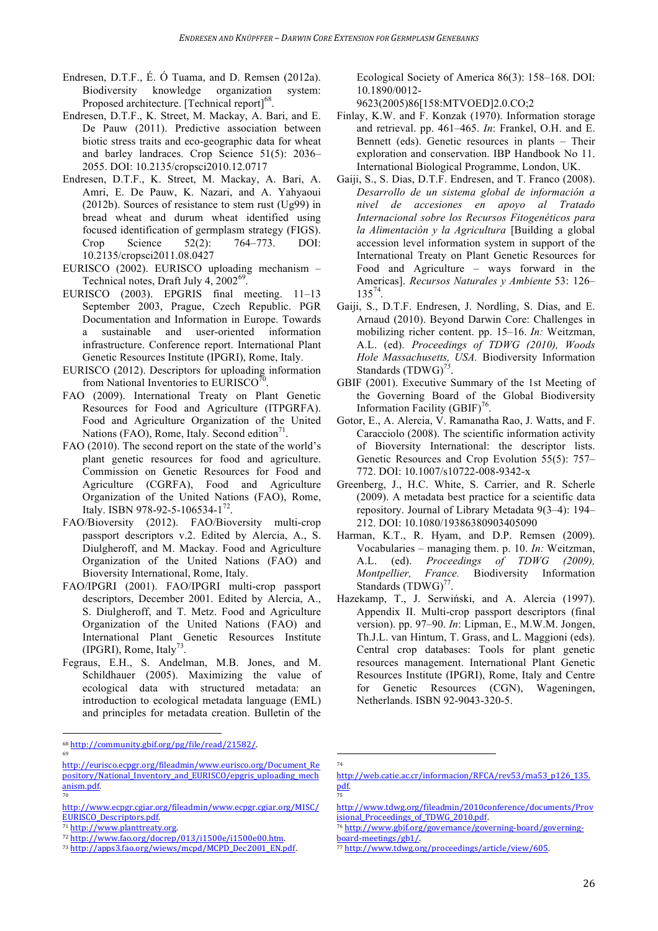- Endresen, D.T.F., É. Ó Tuama, and D. Remsen (2012a). Biodiversity knowledge organization system: Proposed architecture. [Technical report]<sup>68</sup>.
- Endresen, D.T.F., K. Street, M. Mackay, A. Bari, and E. De Pauw (2011). Predictive association between biotic stress traits and eco-geographic data for wheat and barley landraces. Crop Science 51(5): 2036– 2055. DOI: 10.2135/cropsci2010.12.0717
- Endresen, D.T.F., K. Street, M. Mackay, A. Bari, A. Amri, E. De Pauw, K. Nazari, and A. Yahyaoui (2012b). Sources of resistance to stem rust (Ug99) in bread wheat and durum wheat identified using focused identification of germplasm strategy (FIGS). Crop Science 52(2): 764–773. DOI: 10.2135/cropsci2011.08.0427
- EURISCO (2002). EURISCO uploading mechanism Technical notes, Draft July 4,  $2002^{69}$ .
- EURISCO (2003). EPGRIS final meeting. 11–13 September 2003, Prague, Czech Republic. PGR Documentation and Information in Europe. Towards a sustainable and user-oriented information infrastructure. Conference report. International Plant Genetic Resources Institute (IPGRI), Rome, Italy.
- EURISCO (2012). Descriptors for uploading information from National Inventories to  $EURISCO^{70}$
- FAO (2009). International Treaty on Plant Genetic Resources for Food and Agriculture (ITPGRFA). Food and Agriculture Organization of the United Nations (FAO), Rome, Italy. Second edition<sup>71</sup>
- FAO (2010). The second report on the state of the world's plant genetic resources for food and agriculture. Commission on Genetic Resources for Food and Agriculture (CGRFA), Food and Agriculture Organization of the United Nations (FAO), Rome, Italy. ISBN 978-92-5-106534-1<sup>72</sup>.
- FAO/Bioversity (2012). FAO/Bioversity multi-crop passport descriptors v.2. Edited by Alercia, A., S. Diulgheroff, and M. Mackay. Food and Agriculture Organization of the United Nations (FAO) and Bioversity International, Rome, Italy.
- FAO/IPGRI (2001). FAO/IPGRI multi-crop passport descriptors, December 2001. Edited by Alercia, A., S. Diulgheroff, and T. Metz. Food and Agriculture Organization of the United Nations (FAO) and International Plant Genetic Resources Institute (IPGRI), Rome, Italy<sup>73</sup>.
- Fegraus, E.H., S. Andelman, M.B. Jones, and M. Schildhauer (2005). Maximizing the value of ecological data with structured metadata: an introduction to ecological metadata language (EML) and principles for metadata creation. Bulletin of the

<sup>68</sup> http://community.gbif.org/pg/file/read/21582/. 

 

69

Ecological Society of America 86(3): 158–168. DOI: 10.1890/0012-

9623(2005)86[158:MTVOED]2.0.CO;2

- Finlay, K.W. and F. Konzak (1970). Information storage and retrieval. pp. 461–465. *In*: Frankel, O.H. and E. Bennett (eds). Genetic resources in plants – Their exploration and conservation. IBP Handbook No 11. International Biological Programme, London, UK.
- Gaiji, S., S. Dias, D.T.F. Endresen, and T. Franco (2008). *Desarrollo de un sistema global de información a nivel de accesiones en apoyo al Tratado Internacional sobre los Recursos Fitogenéticos para la Alimentación y la Agricultura* [Building a global accession level information system in support of the International Treaty on Plant Genetic Resources for Food and Agriculture – ways forward in the Americas]. *Recursos Naturales y Ambiente* 53: 126–  $135^{74}$ .
- Gaiji, S., D.T.F. Endresen, J. Nordling, S. Dias, and E. Arnaud (2010). Beyond Darwin Core: Challenges in mobilizing richer content. pp. 15–16. *In:* Weitzman, A.L. (ed). *Proceedings of TDWG (2010), Woods Hole Massachusetts, USA.* Biodiversity Information Standards (TDWG)*<sup>75</sup>*.
- GBIF (2001). Executive Summary of the 1st Meeting of the Governing Board of the Global Biodiversity Information Facility (GBIF)<sup>76</sup>.
- Gotor, E., A. Alercia, V. Ramanatha Rao, J. Watts, and F. Caracciolo (2008). The scientific information activity of Bioversity International: the descriptor lists. Genetic Resources and Crop Evolution 55(5): 757– 772. DOI: 10.1007/s10722-008-9342-x
- Greenberg, J., H.C. White, S. Carrier, and R. Scherle (2009). A metadata best practice for a scientific data repository. Journal of Library Metadata 9(3–4): 194– 212. DOI: 10.1080/19386380903405090
- Harman, K.T., R. Hyam, and D.P. Remsen (2009). Vocabularies – managing them. p. 10. *In:* Weitzman, A.L. (ed). *Proceedings of TDWG (2009), Montpellier, France.* Biodiversity Information Standards  $(TDWG)^{77}$ .
- Hazekamp, T., J. Serwiński, and A. Alercia (1997). Appendix II. Multi-crop passport descriptors (final version). pp. 97–90. *In*: Lipman, E., M.W.M. Jongen, Th.J.L. van Hintum, T. Grass, and L. Maggioni (eds). Central crop databases: Tools for plant genetic resources management. International Plant Genetic Resources Institute (IPGRI), Rome, Italy and Centre for Genetic Resources (CGN), Wageningen, Netherlands. ISBN 92-9043-320-5.

 

http://eurisco.ecpgr.org/fileadmin/www.eurisco.org/Document\_Re pository/National\_Inventory\_and\_EURISCO/epgris\_uploading\_mech anism.pdf. 70

http://www.ecpgr.cgiar.org/fileadmin/www.ecpgr.cgiar.org/MISC/ EURISCO\_Descriptors.pdf. 

<sup>71</sup> http://www.planttreaty.org. 

<sup>72</sup> http://www.fao.org/docrep/013/i1500e/i1500e00.htm. 

<sup>73</sup> http://apps3.fao.org/wiews/mcpd/MCPD\_Dec2001\_EN.pdf. 

http://web.catie.ac.cr/informacion/RFCA/rev53/rna53\_p126\_135. pdf. 75

http://www.tdwg.org/fileadmin/2010conference/documents/Prov isional\_Proceedings\_of\_TDWG\_2010.pdf. 

<sup>76</sup> http://www.gbif.org/governance/governing-board/governingboard-meetings/gb1/. 

<sup>77</sup> http://www.tdwg.org/proceedings/article/view/605.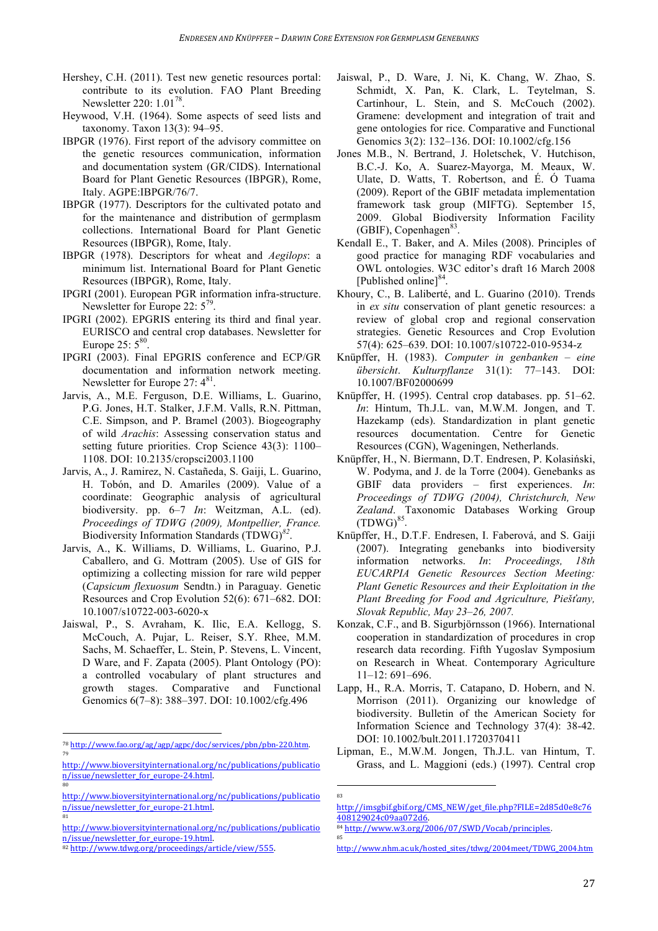- Hershey, C.H. (2011). Test new genetic resources portal: contribute to its evolution. FAO Plant Breeding Newsletter 220: 1.01<sup>78</sup>.
- Heywood, V.H. (1964). Some aspects of seed lists and taxonomy. Taxon 13(3): 94–95.
- IBPGR (1976). First report of the advisory committee on the genetic resources communication, information and documentation system (GR/CIDS). International Board for Plant Genetic Resources (IBPGR), Rome, Italy. AGPE:IBPGR/76/7.
- IBPGR (1977). Descriptors for the cultivated potato and for the maintenance and distribution of germplasm collections. International Board for Plant Genetic Resources (IBPGR), Rome, Italy.
- IBPGR (1978). Descriptors for wheat and *Aegilops*: a minimum list. International Board for Plant Genetic Resources (IBPGR), Rome, Italy.
- IPGRI (2001). European PGR information infra-structure. Newsletter for Europe 22:  $5^{79}$ .
- IPGRI (2002). EPGRIS entering its third and final year. EURISCO and central crop databases. Newsletter for Europe  $25:5^{80}$ .
- IPGRI (2003). Final EPGRIS conference and ECP/GR documentation and information network meeting. Newsletter for Europe 27:  $4^{81}$ .
- Jarvis, A., M.E. Ferguson, D.E. Williams, L. Guarino, P.G. Jones, H.T. Stalker, J.F.M. Valls, R.N. Pittman, C.E. Simpson, and P. Bramel (2003). Biogeography of wild *Arachis*: Assessing conservation status and setting future priorities. Crop Science 43(3): 1100– 1108. DOI: 10.2135/cropsci2003.1100
- Jarvis, A., J. Ramirez, N. Castañeda, S. Gaiji, L. Guarino, H. Tobón, and D. Amariles (2009). Value of a coordinate: Geographic analysis of agricultural biodiversity. pp. 6–7 *In*: Weitzman, A.L. (ed). *Proceedings of TDWG (2009), Montpellier, France.* Biodiversity Information Standards (TDWG)*<sup>82</sup>*.
- Jarvis, A., K. Williams, D. Williams, L. Guarino, P.J. Caballero, and G. Mottram (2005). Use of GIS for optimizing a collecting mission for rare wild pepper (*Capsicum flexuosum* Sendtn.) in Paraguay. Genetic Resources and Crop Evolution 52(6): 671–682. DOI: 10.1007/s10722-003-6020-x
- Jaiswal, P., S. Avraham, K. Ilic, E.A. Kellogg, S. McCouch, A. Pujar, L. Reiser, S.Y. Rhee, M.M. Sachs, M. Schaeffer, L. Stein, P. Stevens, L. Vincent, D Ware, and F. Zapata (2005). Plant Ontology (PO): a controlled vocabulary of plant structures and growth stages. Comparative and Functional Genomics 6(7–8): 388–397. DOI: 10.1002/cfg.496

 

79

80

- Jaiswal, P., D. Ware, J. Ni, K. Chang, W. Zhao, S. Schmidt, X. Pan, K. Clark, L. Teytelman, S. Cartinhour, L. Stein, and S. McCouch (2002). Gramene: development and integration of trait and gene ontologies for rice. Comparative and Functional Genomics 3(2): 132–136. DOI: 10.1002/cfg.156
- Jones M.B., N. Bertrand, J. Holetschek, V. Hutchison, B.C.-J. Ko, A. Suarez-Mayorga, M. Meaux, W. Ulate, D. Watts, T. Robertson, and É. Ó Tuama (2009). Report of the GBIF metadata implementation framework task group (MIFTG). September 15, 2009. Global Biodiversity Information Facility  $(GBIF)$ , Copenhagen $83$ .
- Kendall E., T. Baker, and A. Miles (2008). Principles of good practice for managing RDF vocabularies and OWL ontologies. W3C editor's draft 16 March 2008 [Published online] $84$ .
- Khoury, C., B. Laliberté, and L. Guarino (2010). Trends in *ex situ* conservation of plant genetic resources: a review of global crop and regional conservation strategies. Genetic Resources and Crop Evolution 57(4): 625–639. DOI: 10.1007/s10722-010-9534-z
- Knüpffer, H. (1983). *Computer in genbanken – eine übersicht*. *Kulturpflanze* 31(1): 77–143. DOI: 10.1007/BF02000699
- Knüpffer, H. (1995). Central crop databases. pp. 51–62. *In*: Hintum, Th.J.L. van, M.W.M. Jongen, and T. Hazekamp (eds). Standardization in plant genetic resources documentation. Centre for Genetic Resources (CGN), Wageningen, Netherlands.
- Knüpffer, H., N. Biermann, D.T. Endresen, P. Kolasiński, W. Podyma, and J. de la Torre (2004). Genebanks as GBIF data providers – first experiences. *In*: *Proceedings of TDWG (2004), Christchurch, New Zealand*. Taxonomic Databases Working Group  $(TDWG)^{85}$ .
- Knüpffer, H., D.T.F. Endresen, I. Faberová, and S. Gaiji (2007). Integrating genebanks into biodiversity information networks. *In*: *Proceedings, 18th EUCARPIA Genetic Resources Section Meeting: Plant Genetic Resources and their Exploitation in the Plant Breeding for Food and Agriculture, Piešťany, Slovak Republic, May 23–26, 2007.*
- Konzak, C.F., and B. Sigurbjörnsson (1966). International cooperation in standardization of procedures in crop research data recording. Fifth Yugoslav Symposium on Research in Wheat. Contemporary Agriculture 11–12: 691–696.
- Lapp, H., R.A. Morris, T. Catapano, D. Hobern, and N. Morrison (2011). Organizing our knowledge of biodiversity. Bulletin of the American Society for Information Science and Technology 37(4): 38-42. DOI: 10.1002/bult.2011.1720370411
- Lipman, E., M.W.M. Jongen, Th.J.L. van Hintum, T. Grass, and L. Maggioni (eds.) (1997). Central crop

 

<sup>78</sup> http://www.fao.org/ag/agp/agpc/doc/services/pbn/pbn-220.htm.

http://www.bioversityinternational.org/nc/publications/publicatio n/issue/newsletter\_for\_europe-24.html. 

http://www.bioversityinternational.org/nc/publications/publicatio n/issue/newsletter\_for\_europe-21.html. 81

http://www.bioversityinternational.org/nc/publications/publicatio n/issue/newsletter\_for\_europe-19.html. 

<sup>82</sup> http://www.tdwg.org/proceedings/article/view/555. 

http://imsgbif.gbif.org/CMS\_NEW/get\_file.php?FILE=2d85d0e8c76 408129024c09aa072d6. 

<sup>84</sup> http://www.w3.org/2006/07/SWD/Vocab/principles. 85

http://www.nhm.ac.uk/hosted\_sites/tdwg/2004meet/TDWG\_2004.htm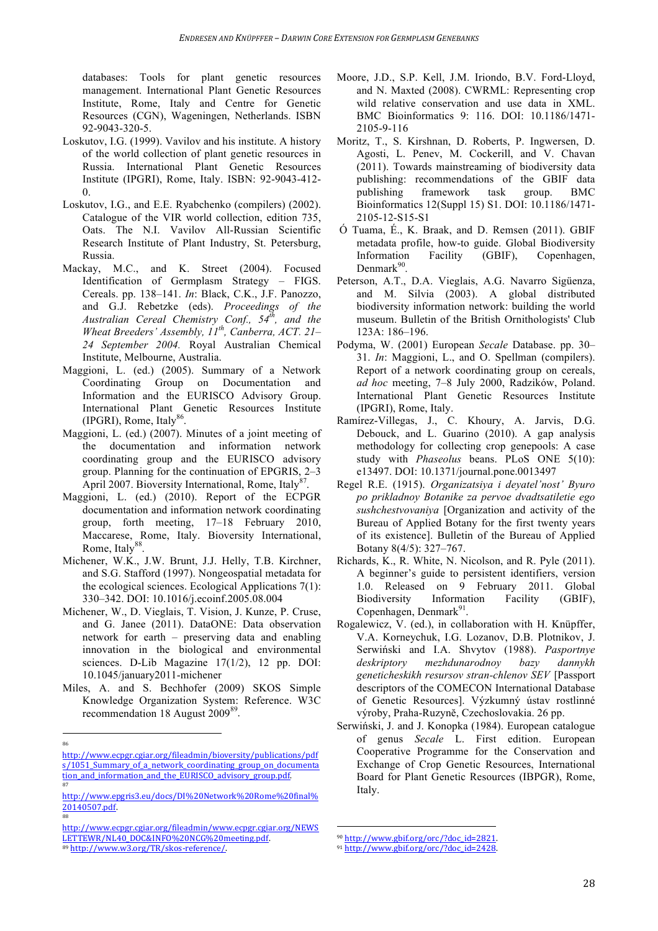databases: Tools for plant genetic resources management. International Plant Genetic Resources Institute, Rome, Italy and Centre for Genetic Resources (CGN), Wageningen, Netherlands. ISBN 92-9043-320-5.

- Loskutov, I.G. (1999). Vavilov and his institute. A history of the world collection of plant genetic resources in Russia. International Plant Genetic Resources Institute (IPGRI), Rome, Italy. ISBN: 92-9043-412-  $\Omega$
- Loskutov, I.G., and E.E. Ryabchenko (compilers) (2002). Catalogue of the VIR world collection, edition 735, Oats. The N.I. Vavilov All-Russian Scientific Research Institute of Plant Industry, St. Petersburg, Russia.
- Mackay, M.C., and K. Street (2004). Focused Identification of Germplasm Strategy – FIGS. Cereals. pp. 138–141. *In*: Black, C.K., J.F. Panozzo, and G.J. Rebetzke (eds). *Proceedings of the Australian Cereal Chemistry Conf., 54th, and the Wheat Breeders' Assembly, 11th, Canberra, ACT. 21– 24 September 2004.* Royal Australian Chemical Institute, Melbourne, Australia.
- Maggioni, L. (ed.) (2005). Summary of a Network Coordinating Group on Documentation and Information and the EURISCO Advisory Group. International Plant Genetic Resources Institute (IPGRI), Rome, Italy<sup>86</sup>.
- Maggioni, L. (ed.) (2007). Minutes of a joint meeting of the documentation and information network coordinating group and the EURISCO advisory group. Planning for the continuation of EPGRIS, 2–3 April 2007. Bioversity International, Rome, Italy $^{87}$ .
- Maggioni, L. (ed.) (2010). Report of the ECPGR documentation and information network coordinating group, forth meeting, 17–18 February 2010, Maccarese, Rome, Italy. Bioversity International, Rome, Italy<sup>88</sup>.
- Michener, W.K., J.W. Brunt, J.J. Helly, T.B. Kirchner, and S.G. Stafford (1997). Nongeospatial metadata for the ecological sciences. Ecological Applications 7(1): 330–342. DOI: 10.1016/j.ecoinf.2005.08.004
- Michener, W., D. Vieglais, T. Vision, J. Kunze, P. Cruse, and G. Janee (2011). DataONE: Data observation network for earth – preserving data and enabling innovation in the biological and environmental sciences. D-Lib Magazine 17(1/2), 12 pp. DOI: 10.1045/january2011-michener
- Miles, A. and S. Bechhofer (2009) SKOS Simple Knowledge Organization System: Reference. W3C recommendation 18 August 2009<sup>89</sup>.

 

 $06$ 

- Moore, J.D., S.P. Kell, J.M. Iriondo, B.V. Ford-Lloyd, and N. Maxted (2008). CWRML: Representing crop wild relative conservation and use data in XML. BMC Bioinformatics 9: 116. DOI: 10.1186/1471- 2105-9-116
- Moritz, T., S. Kirshnan, D. Roberts, P. Ingwersen, D. Agosti, L. Penev, M. Cockerill, and V. Chavan (2011). Towards mainstreaming of biodiversity data publishing: recommendations of the GBIF data publishing framework task group. BMC Bioinformatics 12(Suppl 15) S1. DOI: 10.1186/1471- 2105-12-S15-S1
- Ó Tuama, É., K. Braak, and D. Remsen (2011). GBIF metadata profile, how-to guide. Global Biodiversity Information Facility (GBIF), Copenhagen, Denmark $90$
- Peterson, A.T., D.A. Vieglais, A.G. Navarro Sigüenza, and M. Silvia (2003). A global distributed biodiversity information network: building the world museum. Bulletin of the British Ornithologists' Club 123A: 186–196.
- Podyma, W. (2001) European *Secale* Database. pp. 30– 31. *In*: Maggioni, L., and O. Spellman (compilers). Report of a network coordinating group on cereals, *ad hoc* meeting, 7–8 July 2000, Radzików, Poland. International Plant Genetic Resources Institute (IPGRI), Rome, Italy.
- Ramírez-Villegas, J., C. Khoury, A. Jarvis, D.G. Debouck, and L. Guarino (2010). A gap analysis methodology for collecting crop genepools: A case study with *Phaseolus* beans. PLoS ONE 5(10): e13497. DOI: 10.1371/journal.pone.0013497
- Regel R.E. (1915). *Organizatsiya i deyatel'nost' Byuro po prikladnoy Botanike za pervoe dvadtsatiletie ego sushchestvovaniya* [Organization and activity of the Bureau of Applied Botany for the first twenty years of its existence]. Bulletin of the Bureau of Applied Botany 8(4/5): 327–767.
- Richards, K., R. White, N. Nicolson, and R. Pyle (2011). A beginner's guide to persistent identifiers, version 1.0. Released on 9 February 2011. Global Biodiversity Information Facility (GBIF), Copenhagen, Denmark $91$ .
- Rogalewicz, V. (ed.), in collaboration with H. Knüpffer, V.A. Korneychuk, I.G. Lozanov, D.B. Plotnikov, J. Serwiński and I.A. Shvytov (1988). *Pasportnye deskriptory mezhdunarodnoy bazy dannykh geneticheskikh resursov stran-chlenov SEV* [Passport descriptors of the COMECON International Database of Genetic Resources]. Výzkumný ústav rostlinné výroby, Praha-Ruzynĕ, Czechoslovakia. 26 pp.
- Serwiński, J. and J. Konopka (1984). European catalogue of genus *Secale* L. First edition. European Cooperative Programme for the Conservation and Exchange of Crop Genetic Resources, International Board for Plant Genetic Resources (IBPGR), Rome, Italy.

http://www.ecpgr.cgiar.org/fileadmin/bioversity/publications/pdf s/1051\_Summary\_of\_a\_network\_coordinating\_group\_on\_documenta tion\_and\_information\_and\_the\_EURISCO\_advisory\_group.pdf. 87

http://www.epgris3.eu/docs/DI%20Network%20Rome%20final% 20140507.pdf. 

http://www.ecpgr.cgiar.org/fileadmin/www.ecpgr.cgiar.org/NEWS LETTEWR/NL40\_DOC&INFO%20NCG%20meeting.pdf.

<sup>89</sup> http://www.w3.org/TR/skos-reference/. 

 <sup>90</sup> http://www.gbif.org/orc/?doc\_id=2821.

<sup>91</sup> http://www.gbif.org/orc/?doc\_id=2428.